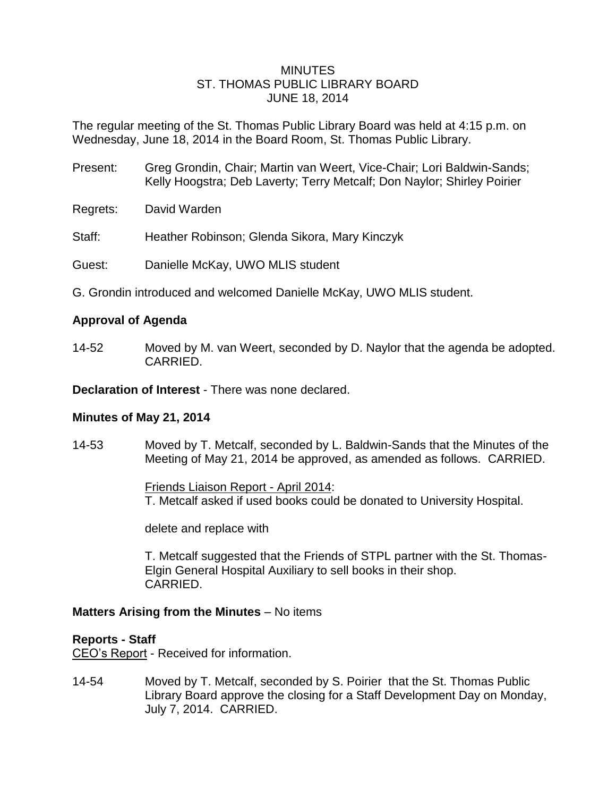#### MINUTES ST. THOMAS PUBLIC LIBRARY BOARD JUNE 18, 2014

The regular meeting of the St. Thomas Public Library Board was held at 4:15 p.m. on Wednesday, June 18, 2014 in the Board Room, St. Thomas Public Library.

- Present: Greg Grondin, Chair; Martin van Weert, Vice-Chair; Lori Baldwin-Sands; Kelly Hoogstra; Deb Laverty; Terry Metcalf; Don Naylor; Shirley Poirier
- Regrets: David Warden
- Staff: Heather Robinson; Glenda Sikora, Mary Kinczyk
- Guest: Danielle McKay, UWO MLIS student
- G. Grondin introduced and welcomed Danielle McKay, UWO MLIS student.

## **Approval of Agenda**

14-52 Moved by M. van Weert, seconded by D. Naylor that the agenda be adopted. CARRIED.

**Declaration of Interest** - There was none declared.

### **Minutes of May 21, 2014**

14-53 Moved by T. Metcalf, seconded by L. Baldwin-Sands that the Minutes of the Meeting of May 21, 2014 be approved, as amended as follows. CARRIED.

> Friends Liaison Report - April 2014: T. Metcalf asked if used books could be donated to University Hospital.

delete and replace with

T. Metcalf suggested that the Friends of STPL partner with the St. Thomas-Elgin General Hospital Auxiliary to sell books in their shop. CARRIED.

### **Matters Arising from the Minutes** – No items

### **Reports - Staff**

CEO's Report - Received for information.

14-54 Moved by T. Metcalf, seconded by S. Poirier that the St. Thomas Public Library Board approve the closing for a Staff Development Day on Monday, July 7, 2014. CARRIED.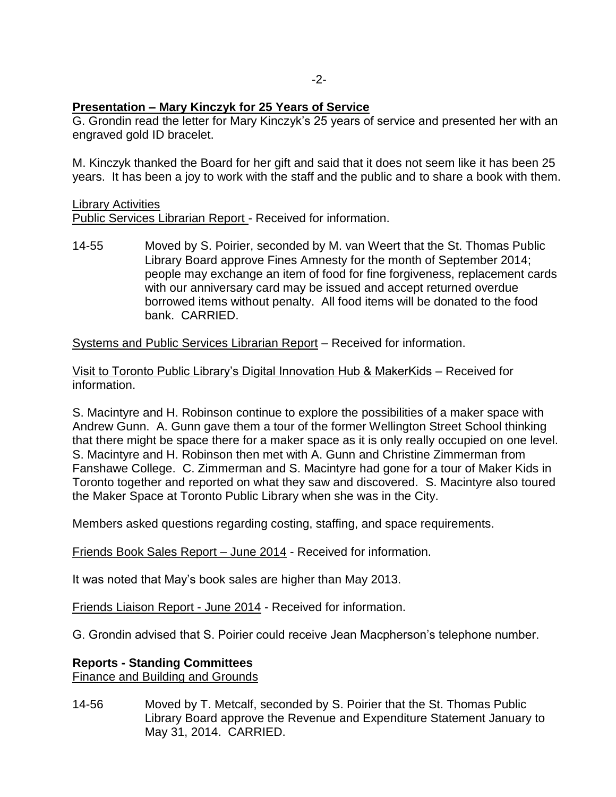## **Presentation – Mary Kinczyk for 25 Years of Service**

G. Grondin read the letter for Mary Kinczyk's 25 years of service and presented her with an engraved gold ID bracelet.

M. Kinczyk thanked the Board for her gift and said that it does not seem like it has been 25 years. It has been a joy to work with the staff and the public and to share a book with them.

#### Library Activities

Public Services Librarian Report - Received for information.

14-55 Moved by S. Poirier, seconded by M. van Weert that the St. Thomas Public Library Board approve Fines Amnesty for the month of September 2014; people may exchange an item of food for fine forgiveness, replacement cards with our anniversary card may be issued and accept returned overdue borrowed items without penalty. All food items will be donated to the food bank. CARRIED.

Systems and Public Services Librarian Report – Received for information.

Visit to Toronto Public Library's Digital Innovation Hub & MakerKids – Received for information.

S. Macintyre and H. Robinson continue to explore the possibilities of a maker space with Andrew Gunn. A. Gunn gave them a tour of the former Wellington Street School thinking that there might be space there for a maker space as it is only really occupied on one level. S. Macintyre and H. Robinson then met with A. Gunn and Christine Zimmerman from Fanshawe College. C. Zimmerman and S. Macintyre had gone for a tour of Maker Kids in Toronto together and reported on what they saw and discovered. S. Macintyre also toured the Maker Space at Toronto Public Library when she was in the City.

Members asked questions regarding costing, staffing, and space requirements.

Friends Book Sales Report – June 2014 - Received for information.

It was noted that May's book sales are higher than May 2013.

Friends Liaison Report - June 2014 - Received for information.

G. Grondin advised that S. Poirier could receive Jean Macpherson's telephone number.

### **Reports - Standing Committees**

Finance and Building and Grounds

14-56 Moved by T. Metcalf, seconded by S. Poirier that the St. Thomas Public Library Board approve the Revenue and Expenditure Statement January to May 31, 2014. CARRIED.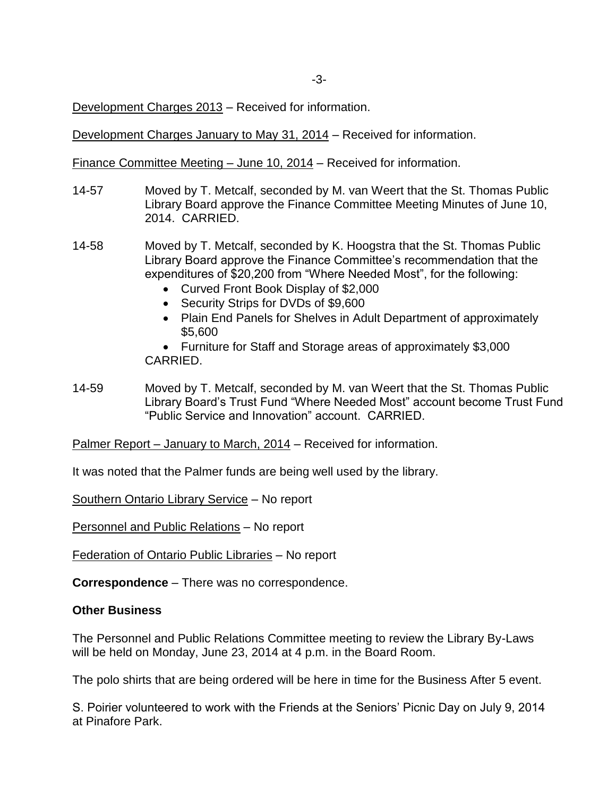Development Charges 2013 – Received for information.

Development Charges January to May 31, 2014 – Received for information.

Finance Committee Meeting – June 10, 2014 – Received for information.

- 14-57 Moved by T. Metcalf, seconded by M. van Weert that the St. Thomas Public Library Board approve the Finance Committee Meeting Minutes of June 10, 2014. CARRIED.
- 14-58 Moved by T. Metcalf, seconded by K. Hoogstra that the St. Thomas Public Library Board approve the Finance Committee's recommendation that the expenditures of \$20,200 from "Where Needed Most", for the following:
	- Curved Front Book Display of \$2,000
	- Security Strips for DVDs of \$9,600
	- Plain End Panels for Shelves in Adult Department of approximately \$5,600
	- Furniture for Staff and Storage areas of approximately \$3,000 CARRIED.
- 14-59 Moved by T. Metcalf, seconded by M. van Weert that the St. Thomas Public Library Board's Trust Fund "Where Needed Most" account become Trust Fund "Public Service and Innovation" account. CARRIED.

Palmer Report – January to March, 2014 – Received for information.

It was noted that the Palmer funds are being well used by the library.

Southern Ontario Library Service – No report

Personnel and Public Relations – No report

Federation of Ontario Public Libraries – No report

**Correspondence** – There was no correspondence.

### **Other Business**

The Personnel and Public Relations Committee meeting to review the Library By-Laws will be held on Monday, June 23, 2014 at 4 p.m. in the Board Room.

The polo shirts that are being ordered will be here in time for the Business After 5 event.

S. Poirier volunteered to work with the Friends at the Seniors' Picnic Day on July 9, 2014 at Pinafore Park.